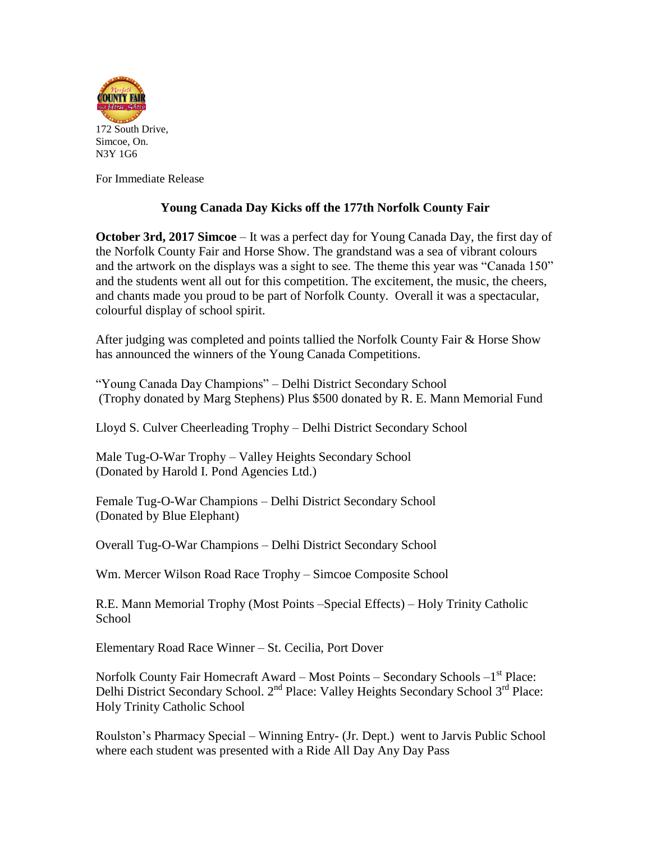

For Immediate Release

## **Young Canada Day Kicks off the 177th Norfolk County Fair**

**October 3rd, 2017 Simcoe** – It was a perfect day for Young Canada Day, the first day of the Norfolk County Fair and Horse Show. The grandstand was a sea of vibrant colours and the artwork on the displays was a sight to see. The theme this year was "Canada 150" and the students went all out for this competition. The excitement, the music, the cheers, and chants made you proud to be part of Norfolk County. Overall it was a spectacular, colourful display of school spirit.

After judging was completed and points tallied the Norfolk County Fair & Horse Show has announced the winners of the Young Canada Competitions.

"Young Canada Day Champions" – Delhi District Secondary School (Trophy donated by Marg Stephens) Plus \$500 donated by R. E. Mann Memorial Fund

Lloyd S. Culver Cheerleading Trophy – Delhi District Secondary School

Male Tug-O-War Trophy – Valley Heights Secondary School (Donated by Harold I. Pond Agencies Ltd.)

Female Tug-O-War Champions – Delhi District Secondary School (Donated by Blue Elephant)

Overall Tug-O-War Champions – Delhi District Secondary School

Wm. Mercer Wilson Road Race Trophy – Simcoe Composite School

R.E. Mann Memorial Trophy (Most Points –Special Effects) – Holy Trinity Catholic School

Elementary Road Race Winner – St. Cecilia, Port Dover

Norfolk County Fair Homecraft Award – Most Points – Secondary Schools –1<sup>st</sup> Place: Delhi District Secondary School. 2<sup>nd</sup> Place: Valley Heights Secondary School 3<sup>rd</sup> Place: Holy Trinity Catholic School

Roulston's Pharmacy Special – Winning Entry- (Jr. Dept.) went to Jarvis Public School where each student was presented with a Ride All Day Any Day Pass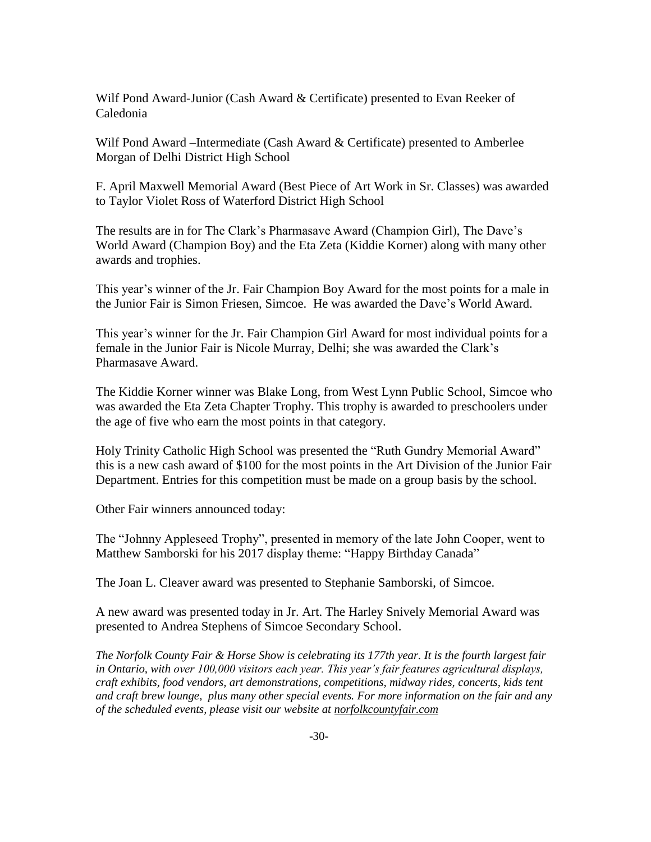Wilf Pond Award-Junior (Cash Award & Certificate) presented to Evan Reeker of Caledonia

Wilf Pond Award –Intermediate (Cash Award & Certificate) presented to Amberlee Morgan of Delhi District High School

F. April Maxwell Memorial Award (Best Piece of Art Work in Sr. Classes) was awarded to Taylor Violet Ross of Waterford District High School

The results are in for The Clark's Pharmasave Award (Champion Girl), The Dave's World Award (Champion Boy) and the Eta Zeta (Kiddie Korner) along with many other awards and trophies.

This year's winner of the Jr. Fair Champion Boy Award for the most points for a male in the Junior Fair is Simon Friesen, Simcoe. He was awarded the Dave's World Award.

This year's winner for the Jr. Fair Champion Girl Award for most individual points for a female in the Junior Fair is Nicole Murray, Delhi; she was awarded the Clark's Pharmasave Award.

The Kiddie Korner winner was Blake Long, from West Lynn Public School, Simcoe who was awarded the Eta Zeta Chapter Trophy. This trophy is awarded to preschoolers under the age of five who earn the most points in that category.

Holy Trinity Catholic High School was presented the "Ruth Gundry Memorial Award" this is a new cash award of \$100 for the most points in the Art Division of the Junior Fair Department. Entries for this competition must be made on a group basis by the school.

Other Fair winners announced today:

The "Johnny Appleseed Trophy", presented in memory of the late John Cooper, went to Matthew Samborski for his 2017 display theme: "Happy Birthday Canada"

The Joan L. Cleaver award was presented to Stephanie Samborski, of Simcoe.

A new award was presented today in Jr. Art. The Harley Snively Memorial Award was presented to Andrea Stephens of Simcoe Secondary School.

*The Norfolk County Fair & Horse Show is celebrating its 177th year. It is the fourth largest fair in Ontario, with over 100,000 visitors each year. This year's fair features agricultural displays, craft exhibits, food vendors, art demonstrations, competitions, midway rides, concerts, kids tent and craft brew lounge, plus many other special events. For more information on the fair and any of the scheduled events, please visit our website at [norfolkcountyfair.com](http://www.norfolkcountyfair.com/)*